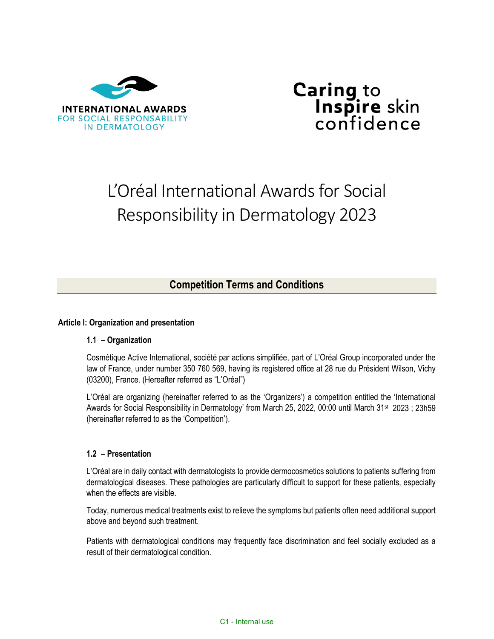



# L'Oréal International Awards for Social Responsibility in Dermatology 2023

# **Competition Terms and Conditions**

#### **Article I: Organization and presentation**

#### **1.1 – Organization**

Cosmétique Active International, société par actions simplifiée, part of L'Oréal Group incorporated under the law of France, under number 350 760 569, having its registered office at 28 rue du Président Wilson, Vichy (03200), France. (Hereafter referred as "L'Oréal")

L'Oréal are organizing (hereinafter referred to as the 'Organizers') a competition entitled the 'International Awards for Social Responsibility in Dermatology' from March 25, 2022, 00:00 until March 31<sup>st</sup> 2023; 23h59 (hereinafter referred to as the 'Competition').

#### **1.2 – Presentation**

L'Oréal are in daily contact with dermatologists to provide dermocosmetics solutions to patients suffering from dermatological diseases. These pathologies are particularly difficult to support for these patients, especially when the effects are visible.

Today, numerous medical treatments exist to relieve the symptoms but patients often need additional support above and beyond such treatment.

Patients with dermatological conditions may frequently face discrimination and feel socially excluded as a result of their dermatological condition.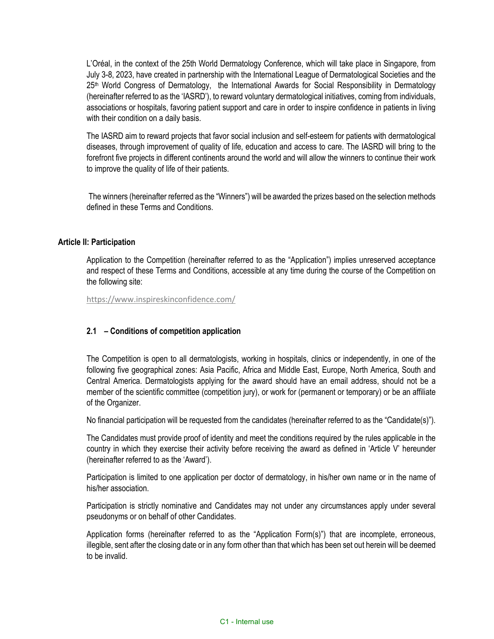L'Oréal, in the context of the 25th World Dermatology Conference, which will take place in Singapore, from July 3-8, 2023, have created in partnership with the International League of Dermatological Societies and the 25<sup>th</sup> World Congress of Dermatology, the International Awards for Social Responsibility in Dermatology (hereinafter referred to as the 'IASRD'), to reward voluntary dermatological initiatives, coming from individuals, associations or hospitals, favoring patient support and care in order to inspire confidence in patients in living with their condition on a daily basis.

The IASRD aim to reward projects that favor social inclusion and self-esteem for patients with dermatological diseases, through improvement of quality of life, education and access to care. The IASRD will bring to the forefront five projects in different continents around the world and will allow the winners to continue their work to improve the quality of life of their patients.

The winners (hereinafter referred as the "Winners") will be awarded the prizes based on the selection methods defined in these Terms and Conditions.

### **Article II: Participation**

Application to the Competition (hereinafter referred to as the "Application") implies unreserved acceptance and respect of these Terms and Conditions, accessible at any time during the course of the Competition on the following site:

<https://www.inspireskinconfidence.com/>

#### **2.1 – Conditions of competition application**

The Competition is open to all dermatologists, working in hospitals, clinics or independently, in one of the following five geographical zones: Asia Pacific, Africa and Middle East, Europe, North America, South and Central America. Dermatologists applying for the award should have an email address, should not be a member of the scientific committee (competition jury), or work for (permanent or temporary) or be an affiliate of the Organizer.

No financial participation will be requested from the candidates (hereinafter referred to as the "Candidate(s)").

The Candidates must provide proof of identity and meet the conditions required by the rules applicable in the country in which they exercise their activity before receiving the award as defined in 'Article V' hereunder (hereinafter referred to as the 'Award').

Participation is limited to one application per doctor of dermatology, in his/her own name or in the name of his/her association.

Participation is strictly nominative and Candidates may not under any circumstances apply under several pseudonyms or on behalf of other Candidates.

Application forms (hereinafter referred to as the "Application Form(s)") that are incomplete, erroneous, illegible, sent after the closing date or in any form other than that which has been set out herein will be deemed to be invalid.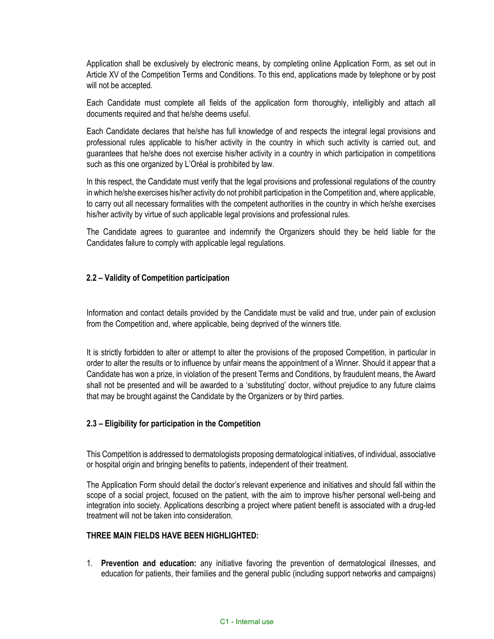Application shall be exclusively by electronic means, by completing online Application Form, as set out in Article XV of the Competition Terms and Conditions. To this end, applications made by telephone or by post will not be accepted.

Each Candidate must complete all fields of the application form thoroughly, intelligibly and attach all documents required and that he/she deems useful.

Each Candidate declares that he/she has full knowledge of and respects the integral legal provisions and professional rules applicable to his/her activity in the country in which such activity is carried out, and guarantees that he/she does not exercise his/her activity in a country in which participation in competitions such as this one organized by L'Oréal is prohibited by law.

In this respect, the Candidate must verify that the legal provisions and professional regulations of the country in which he/she exercises his/her activity do not prohibit participation in the Competition and, where applicable, to carry out all necessary formalities with the competent authorities in the country in which he/she exercises his/her activity by virtue of such applicable legal provisions and professional rules.

The Candidate agrees to guarantee and indemnify the Organizers should they be held liable for the Candidates failure to comply with applicable legal regulations.

### **2.2 – Validity of Competition participation**

Information and contact details provided by the Candidate must be valid and true, under pain of exclusion from the Competition and, where applicable, being deprived of the winners title.

It is strictly forbidden to alter or attempt to alter the provisions of the proposed Competition, in particular in order to alter the results or to influence by unfair means the appointment of a Winner. Should it appear that a Candidate has won a prize, in violation of the present Terms and Conditions, by fraudulent means, the Award shall not be presented and will be awarded to a 'substituting' doctor, without prejudice to any future claims that may be brought against the Candidate by the Organizers or by third parties.

#### **2.3 – Eligibility for participation in the Competition**

This Competition is addressed to dermatologists proposing dermatological initiatives, of individual, associative or hospital origin and bringing benefits to patients, independent of their treatment.

The Application Form should detail the doctor's relevant experience and initiatives and should fall within the scope of a social project, focused on the patient, with the aim to improve his/her personal well-being and integration into society. Applications describing a project where patient benefit is associated with a drug-led treatment will not be taken into consideration.

#### **THREE MAIN FIELDS HAVE BEEN HIGHLIGHTED:**

1. **Prevention and education:** any initiative favoring the prevention of dermatological illnesses, and education for patients, their families and the general public (including support networks and campaigns)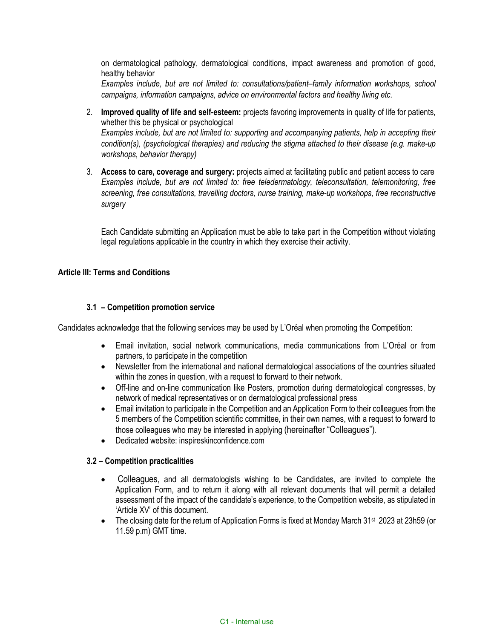on dermatological pathology, dermatological conditions, impact awareness and promotion of good, healthy behavior

*Examples include, but are not limited to: consultations/patient–family information workshops, school campaigns, information campaigns, advice on environmental factors and healthy living etc.*

- 2. **Improved quality of life and self-esteem:** projects favoring improvements in quality of life for patients, whether this be physical or psychological *Examples include, but are not limited to: supporting and accompanying patients, help in accepting their condition(s), (psychological therapies) and reducing the stigma attached to their disease (e.g. make-up workshops, behavior therapy)*
- 3. **Access to care, coverage and surgery:** projects aimed at facilitating public and patient access to care *Examples include, but are not limited to: free teledermatology, teleconsultation, telemonitoring, free screening, free consultations, travelling doctors, nurse training, make-up workshops, free reconstructive surgery*

Each Candidate submitting an Application must be able to take part in the Competition without violating legal regulations applicable in the country in which they exercise their activity.

#### **Article III: Terms and Conditions**

#### **3.1 – Competition promotion service**

Candidates acknowledge that the following services may be used by L'Oréal when promoting the Competition:

- Email invitation, social network communications, media communications from L'Oréal or from partners, to participate in the competition
- Newsletter from the international and national dermatological associations of the countries situated within the zones in question, with a request to forward to their network.
- Off-line and on-line communication like Posters, promotion during dermatological congresses, by network of medical representatives or on dermatological professional press
- Email invitation to participate in the Competition and an Application Form to their colleagues from the 5 members of the Competition scientific committee, in their own names, with a request to forward to those colleagues who may be interested in applying (hereinafter "Colleagues").
- Dedicated website: inspireskinconfidence.com

#### **3.2 – Competition practicalities**

- Colleagues, and all dermatologists wishing to be Candidates, are invited to complete the Application Form, and to return it along with all relevant documents that will permit a detailed assessment of the impact of the candidate's experience, to the Competition website, as stipulated in 'Article XV' of this document.
- The closing date for the return of Application Forms is fixed at Monday March 31<sup>st</sup> 2023 at 23h59 (or 11.59 p.m) GMT time.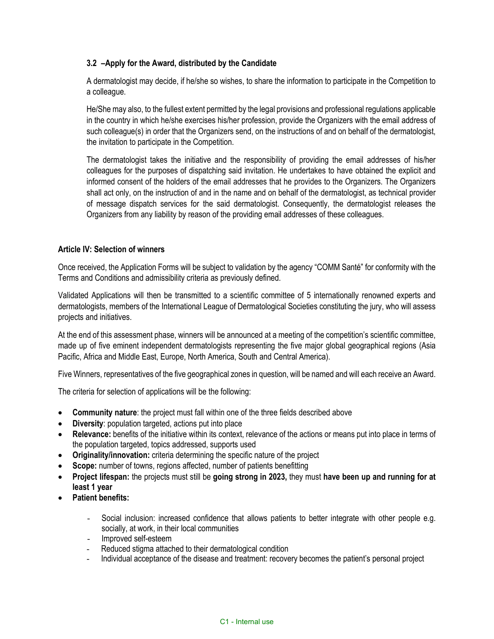# **3.2 –Apply for the Award, distributed by the Candidate**

A dermatologist may decide, if he/she so wishes, to share the information to participate in the Competition to a colleague.

He/She may also, to the fullest extent permitted by the legal provisions and professional regulations applicable in the country in which he/she exercises his/her profession, provide the Organizers with the email address of such colleague(s) in order that the Organizers send, on the instructions of and on behalf of the dermatologist, the invitation to participate in the Competition.

The dermatologist takes the initiative and the responsibility of providing the email addresses of his/her colleagues for the purposes of dispatching said invitation. He undertakes to have obtained the explicit and informed consent of the holders of the email addresses that he provides to the Organizers. The Organizers shall act only, on the instruction of and in the name and on behalf of the dermatologist, as technical provider of message dispatch services for the said dermatologist. Consequently, the dermatologist releases the Organizers from any liability by reason of the providing email addresses of these colleagues.

# **Article IV: Selection of winners**

Once received, the Application Forms will be subject to validation by the agency "COMM Santé" for conformity with the Terms and Conditions and admissibility criteria as previously defined.

Validated Applications will then be transmitted to a scientific committee of 5 internationally renowned experts and dermatologists, members of the International League of Dermatological Societies constituting the jury, who will assess projects and initiatives.

At the end of this assessment phase, winners will be announced at a meeting of the competition's scientific committee, made up of five eminent independent dermatologists representing the five major global geographical regions (Asia Pacific, Africa and Middle East, Europe, North America, South and Central America).

Five Winners, representatives of the five geographical zones in question, will be named and will each receive an Award.

The criteria for selection of applications will be the following:

- **Community nature:** the project must fall within one of the three fields described above
- **Diversity**: population targeted, actions put into place
- **Relevance:** benefits of the initiative within its context, relevance of the actions or means put into place in terms of the population targeted, topics addressed, supports used
- **Originality/innovation:** criteria determining the specific nature of the project
- **Scope:** number of towns, regions affected, number of patients benefitting
- **Project lifespan:** the projects must still be **going strong in 2023,** they must **have been up and running for at least 1 year**
- **Patient benefits:**
	- Social inclusion: increased confidence that allows patients to better integrate with other people e.g. socially, at work, in their local communities
	- Improved self-esteem<br>- Reduced stigma attack
	- Reduced stigma attached to their dermatological condition
	- Individual acceptance of the disease and treatment: recovery becomes the patient's personal project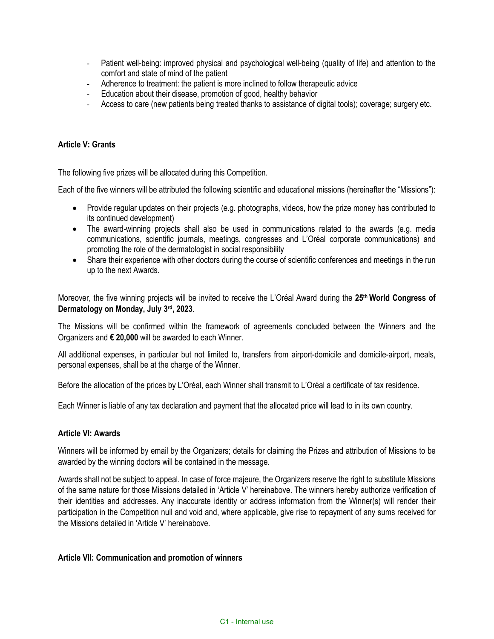- Patient well-being: improved physical and psychological well-being (quality of life) and attention to the comfort and state of mind of the patient
- Adherence to treatment: the patient is more inclined to follow therapeutic advice
- Education about their disease, promotion of good, healthy behavior
- Access to care (new patients being treated thanks to assistance of digital tools); coverage; surgery etc.

#### **Article V: Grants**

The following five prizes will be allocated during this Competition.

Each of the five winners will be attributed the following scientific and educational missions (hereinafter the "Missions"):

- Provide regular updates on their projects (e.g. photographs, videos, how the prize money has contributed to its continued development)
- The award-winning projects shall also be used in communications related to the awards (e.g. media communications, scientific journals, meetings, congresses and L'Oréal corporate communications) and promoting the role of the dermatologist in social responsibility
- Share their experience with other doctors during the course of scientific conferences and meetings in the run up to the next Awards.

Moreover, the five winning projects will be invited to receive the L'Oréal Award during the **25th World Congress of Dermatology on Monday, July 3rd, 2023**.

The Missions will be confirmed within the framework of agreements concluded between the Winners and the Organizers and **€ 20,000** will be awarded to each Winner.

All additional expenses, in particular but not limited to, transfers from airport-domicile and domicile-airport, meals, personal expenses, shall be at the charge of the Winner.

Before the allocation of the prices by L'Oréal, each Winner shall transmit to L'Oréal a certificate of tax residence.

Each Winner is liable of any tax declaration and payment that the allocated price will lead to in its own country.

#### **Article VI: Awards**

Winners will be informed by email by the Organizers; details for claiming the Prizes and attribution of Missions to be awarded by the winning doctors will be contained in the message.

Awards shall not be subject to appeal. In case of force majeure, the Organizers reserve the right to substitute Missions of the same nature for those Missions detailed in 'Article V' hereinabove. The winners hereby authorize verification of their identities and addresses. Any inaccurate identity or address information from the Winner(s) will render their participation in the Competition null and void and, where applicable, give rise to repayment of any sums received for the Missions detailed in 'Article V' hereinabove.

#### **Article VII: Communication and promotion of winners**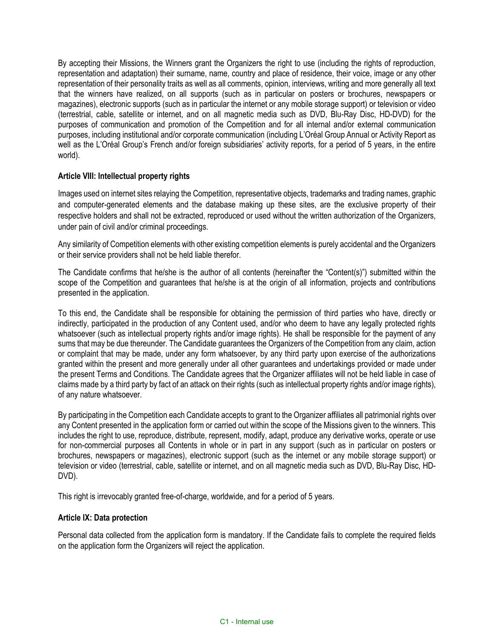By accepting their Missions, the Winners grant the Organizers the right to use (including the rights of reproduction, representation and adaptation) their surname, name, country and place of residence, their voice, image or any other representation of their personality traits as well as all comments, opinion, interviews, writing and more generally all text that the winners have realized, on all supports (such as in particular on posters or brochures, newspapers or magazines), electronic supports (such as in particular the internet or any mobile storage support) or television or video (terrestrial, cable, satellite or internet, and on all magnetic media such as DVD, Blu-Ray Disc, HD-DVD) for the purposes of communication and promotion of the Competition and for all internal and/or external communication purposes, including institutional and/or corporate communication (including L'Oréal Group Annual or Activity Report as well as the L'Oréal Group's French and/or foreign subsidiaries' activity reports, for a period of 5 years, in the entire world).

### **Article VIII: Intellectual property rights**

Images used on internet sites relaying the Competition, representative objects, trademarks and trading names, graphic and computer-generated elements and the database making up these sites, are the exclusive property of their respective holders and shall not be extracted, reproduced or used without the written authorization of the Organizers, under pain of civil and/or criminal proceedings.

Any similarity of Competition elements with other existing competition elements is purely accidental and the Organizers or their service providers shall not be held liable therefor.

The Candidate confirms that he/she is the author of all contents (hereinafter the "Content(s)") submitted within the scope of the Competition and guarantees that he/she is at the origin of all information, projects and contributions presented in the application.

To this end, the Candidate shall be responsible for obtaining the permission of third parties who have, directly or indirectly, participated in the production of any Content used, and/or who deem to have any legally protected rights whatsoever (such as intellectual property rights and/or image rights). He shall be responsible for the payment of any sums that may be due thereunder. The Candidate guarantees the Organizers of the Competition from any claim, action or complaint that may be made, under any form whatsoever, by any third party upon exercise of the authorizations granted within the present and more generally under all other guarantees and undertakings provided or made under the present Terms and Conditions. The Candidate agrees that the Organizer affiliates will not be held liable in case of claims made by a third party by fact of an attack on their rights (such as intellectual property rights and/or image rights), of any nature whatsoever.

By participating in the Competition each Candidate accepts to grant to the Organizer affiliates all patrimonial rights over any Content presented in the application form or carried out within the scope of the Missions given to the winners. This includes the right to use, reproduce, distribute, represent, modify, adapt, produce any derivative works, operate or use for non-commercial purposes all Contents in whole or in part in any support (such as in particular on posters or brochures, newspapers or magazines), electronic support (such as the internet or any mobile storage support) or television or video (terrestrial, cable, satellite or internet, and on all magnetic media such as DVD, Blu-Ray Disc, HD-DVD).

This right is irrevocably granted free-of-charge, worldwide, and for a period of 5 years.

#### **Article IX: Data protection**

Personal data collected from the application form is mandatory. If the Candidate fails to complete the required fields on the application form the Organizers will reject the application.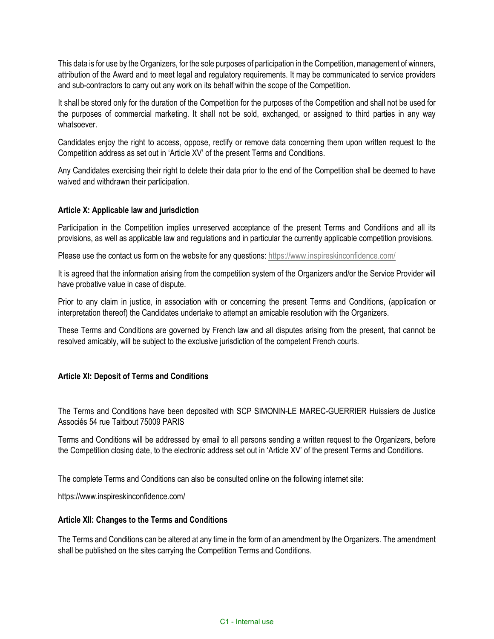This data is for use by the Organizers, for the sole purposes of participation in the Competition, management of winners, attribution of the Award and to meet legal and regulatory requirements. It may be communicated to service providers and sub-contractors to carry out any work on its behalf within the scope of the Competition.

It shall be stored only for the duration of the Competition for the purposes of the Competition and shall not be used for the purposes of commercial marketing. It shall not be sold, exchanged, or assigned to third parties in any way whatsoever.

Candidates enjoy the right to access, oppose, rectify or remove data concerning them upon written request to the Competition address as set out in 'Article XV' of the present Terms and Conditions.

Any Candidates exercising their right to delete their data prior to the end of the Competition shall be deemed to have waived and withdrawn their participation.

#### **Article X: Applicable law and jurisdiction**

Participation in the Competition implies unreserved acceptance of the present Terms and Conditions and all its provisions, as well as applicable law and regulations and in particular the currently applicable competition provisions.

Please use the contact us form on the website for any questions: https://www.inspireskinconfidence.com/

It is agreed that the information arising from the competition system of the Organizers and/or the Service Provider will have probative value in case of dispute.

Prior to any claim in justice, in association with or concerning the present Terms and Conditions, (application or interpretation thereof) the Candidates undertake to attempt an amicable resolution with the Organizers.

These Terms and Conditions are governed by French law and all disputes arising from the present, that cannot be resolved amicably, will be subject to the exclusive jurisdiction of the competent French courts.

#### **Article XI: Deposit of Terms and Conditions**

The Terms and Conditions have been deposited with SCP SIMONIN-LE MAREC-GUERRIER Huissiers de Justice Associés 54 rue Taitbout 75009 PARIS

Terms and Conditions will be addressed by email to all persons sending a written request to the Organizers, before the Competition closing date, to the electronic address set out in 'Article XV' of the present Terms and Conditions.

The complete Terms and Conditions can also be consulted online on the following internet site:

<https://www.inspireskinconfidence.com/>

#### **Article XII: Changes to the Terms and Conditions**

The Terms and Conditions can be altered at any time in the form of an amendment by the Organizers. The amendment shall be published on the sites carrying the Competition Terms and Conditions.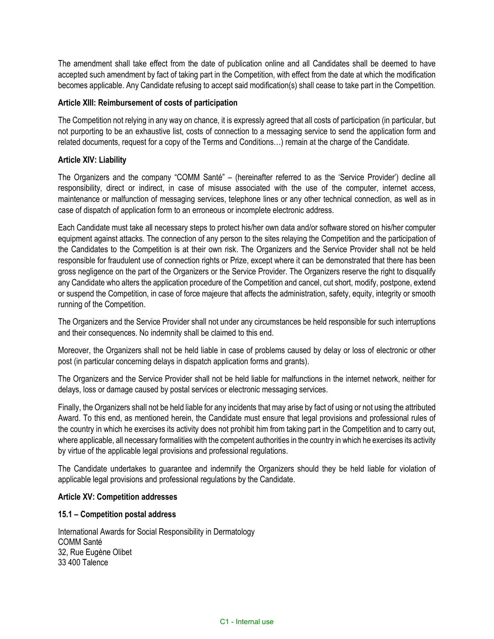The amendment shall take effect from the date of publication online and all Candidates shall be deemed to have accepted such amendment by fact of taking part in the Competition, with effect from the date at which the modification becomes applicable. Any Candidate refusing to accept said modification(s) shall cease to take part in the Competition.

#### **Article XIII: Reimbursement of costs of participation**

The Competition not relying in any way on chance, it is expressly agreed that all costs of participation (in particular, but not purporting to be an exhaustive list, costs of connection to a messaging service to send the application form and related documents, request for a copy of the Terms and Conditions…) remain at the charge of the Candidate.

#### **Article XIV: Liability**

The Organizers and the company "COMM Santé" – (hereinafter referred to as the 'Service Provider') decline all responsibility, direct or indirect, in case of misuse associated with the use of the computer, internet access, maintenance or malfunction of messaging services, telephone lines or any other technical connection, as well as in case of dispatch of application form to an erroneous or incomplete electronic address.

Each Candidate must take all necessary steps to protect his/her own data and/or software stored on his/her computer equipment against attacks. The connection of any person to the sites relaying the Competition and the participation of the Candidates to the Competition is at their own risk. The Organizers and the Service Provider shall not be held responsible for fraudulent use of connection rights or Prize, except where it can be demonstrated that there has been gross negligence on the part of the Organizers or the Service Provider. The Organizers reserve the right to disqualify any Candidate who alters the application procedure of the Competition and cancel, cut short, modify, postpone, extend or suspend the Competition, in case of force majeure that affects the administration, safety, equity, integrity or smooth running of the Competition.

The Organizers and the Service Provider shall not under any circumstances be held responsible for such interruptions and their consequences. No indemnity shall be claimed to this end.

Moreover, the Organizers shall not be held liable in case of problems caused by delay or loss of electronic or other post (in particular concerning delays in dispatch application forms and grants).

The Organizers and the Service Provider shall not be held liable for malfunctions in the internet network, neither for delays, loss or damage caused by postal services or electronic messaging services.

Finally, the Organizers shall not be held liable for any incidents that may arise by fact of using or not using the attributed Award. To this end, as mentioned herein, the Candidate must ensure that legal provisions and professional rules of the country in which he exercises its activity does not prohibit him from taking part in the Competition and to carry out, where applicable, all necessary formalities with the competent authorities in the country in which he exercises its activity by virtue of the applicable legal provisions and professional regulations.

The Candidate undertakes to guarantee and indemnify the Organizers should they be held liable for violation of applicable legal provisions and professional regulations by the Candidate.

#### **Article XV: Competition addresses**

#### **15.1 – Competition postal address**

International Awards for Social Responsibility in Dermatology COMM Santé 32, Rue Eugène Olibet 33 400 Talence